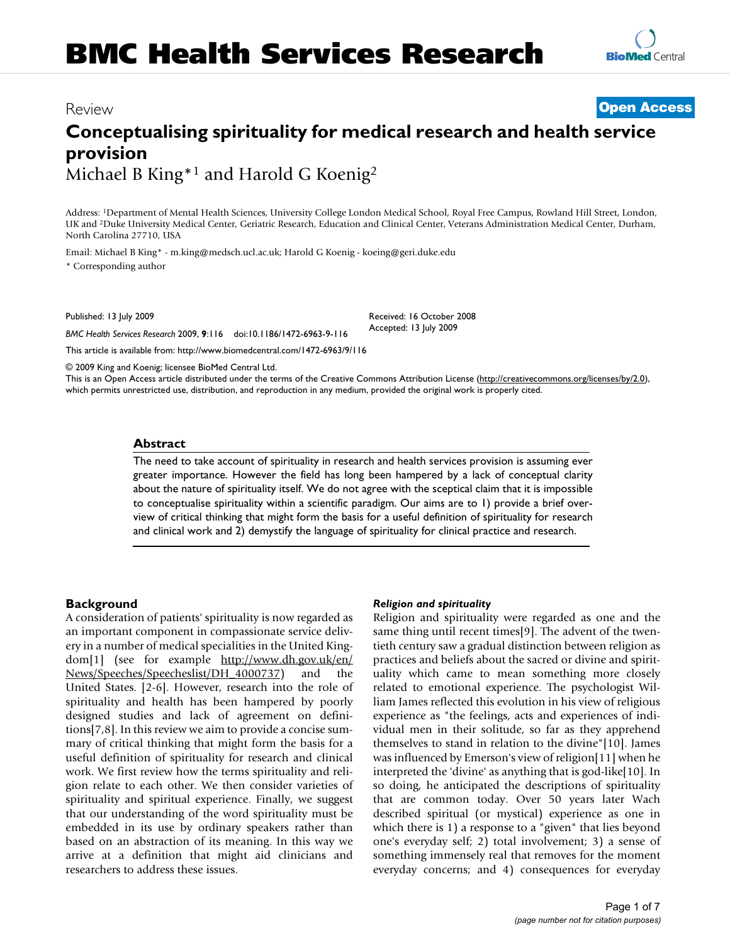## Review **[Open Access](http://www.biomedcentral.com/info/about/charter/)**

# **Conceptualising spirituality for medical research and health service provision** Michael B King\*1 and Harold G Koenig2

Address: 1Department of Mental Health Sciences, University College London Medical School, Royal Free Campus, Rowland Hill Street, London, UK and 2Duke University Medical Center, Geriatric Research, Education and Clinical Center, Veterans Administration Medical Center, Durham, North Carolina 27710, USA

Email: Michael B King\* - m.king@medsch.ucl.ac.uk; Harold G Koenig - koeing@geri.duke.edu \* Corresponding author

Published: 13 July 2009

*BMC Health Services Research* 2009, **9**:116 doi:10.1186/1472-6963-9-116

[This article is available from: http://www.biomedcentral.com/1472-6963/9/116](http://www.biomedcentral.com/1472-6963/9/116)

© 2009 King and Koenig; licensee BioMed Central Ltd.

This is an Open Access article distributed under the terms of the Creative Commons Attribution License [\(http://creativecommons.org/licenses/by/2.0\)](http://creativecommons.org/licenses/by/2.0), which permits unrestricted use, distribution, and reproduction in any medium, provided the original work is properly cited.

## **Abstract**

The need to take account of spirituality in research and health services provision is assuming ever greater importance. However the field has long been hampered by a lack of conceptual clarity about the nature of spirituality itself. We do not agree with the sceptical claim that it is impossible to conceptualise spirituality within a scientific paradigm. Our aims are to 1) provide a brief overview of critical thinking that might form the basis for a useful definition of spirituality for research and clinical work and 2) demystify the language of spirituality for clinical practice and research.

## **Background**

A consideration of patients' spirituality is now regarded as an important component in compassionate service delivery in a number of medical specialities in the United Kingdom[1] (see for example [http://www.dh.gov.uk/en/](http://www.dh.gov.uk/en/News/Speeches/Speecheslist/DH_4000737) [News/Speeches/Speecheslist/DH\\_4000737](http://www.dh.gov.uk/en/News/Speeches/Speecheslist/DH_4000737)) and the United States. [2-6]. However, research into the role of spirituality and health has been hampered by poorly designed studies and lack of agreement on definitions[7,8]. In this review we aim to provide a concise summary of critical thinking that might form the basis for a useful definition of spirituality for research and clinical work. We first review how the terms spirituality and religion relate to each other. We then consider varieties of spirituality and spiritual experience. Finally, we suggest that our understanding of the word spirituality must be embedded in its use by ordinary speakers rather than based on an abstraction of its meaning. In this way we arrive at a definition that might aid clinicians and researchers to address these issues.

## *Religion and spirituality*

Received: 16 October 2008 Accepted: 13 July 2009

Religion and spirituality were regarded as one and the same thing until recent times[9]. The advent of the twentieth century saw a gradual distinction between religion as practices and beliefs about the sacred or divine and spirituality which came to mean something more closely related to emotional experience. The psychologist William James reflected this evolution in his view of religious experience as "the feelings, acts and experiences of individual men in their solitude, so far as they apprehend themselves to stand in relation to the divine"[10]. James was influenced by Emerson's view of religion[11] when he interpreted the 'divine' as anything that is god-like[10]. In so doing, he anticipated the descriptions of spirituality that are common today. Over 50 years later Wach described spiritual (or mystical) experience as one in which there is 1) a response to a "given" that lies beyond one's everyday self; 2) total involvement; 3) a sense of something immensely real that removes for the moment everyday concerns; and 4) consequences for everyday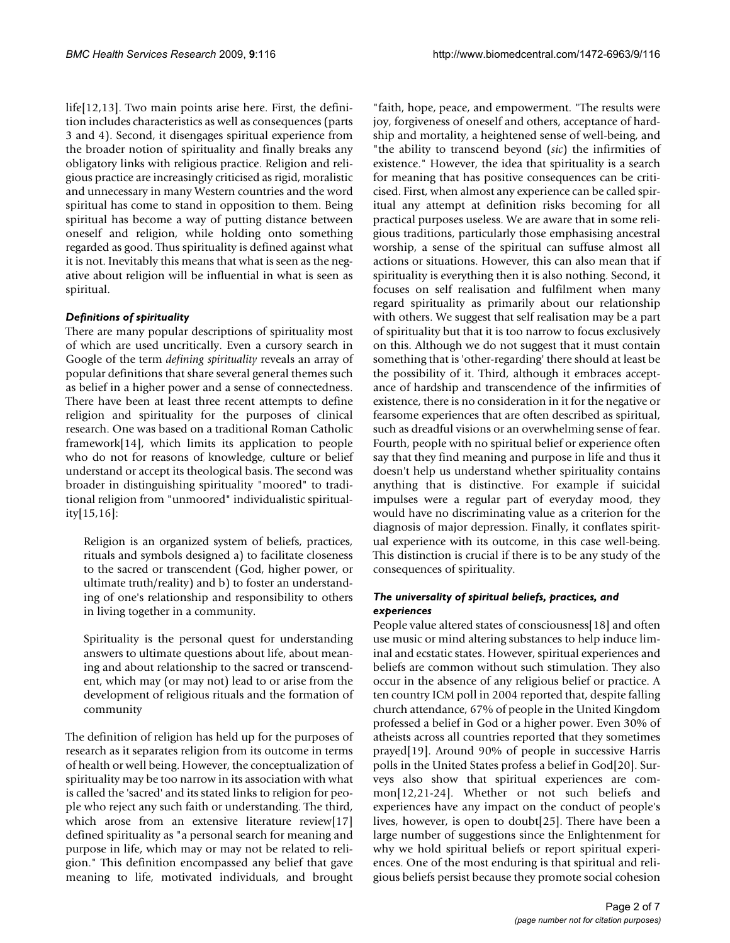life[12,13]. Two main points arise here. First, the definition includes characteristics as well as consequences (parts 3 and 4). Second, it disengages spiritual experience from the broader notion of spirituality and finally breaks any obligatory links with religious practice. Religion and religious practice are increasingly criticised as rigid, moralistic and unnecessary in many Western countries and the word spiritual has come to stand in opposition to them. Being spiritual has become a way of putting distance between oneself and religion, while holding onto something regarded as good. Thus spirituality is defined against what it is not. Inevitably this means that what is seen as the negative about religion will be influential in what is seen as spiritual.

## *Definitions of spirituality*

There are many popular descriptions of spirituality most of which are used uncritically. Even a cursory search in Google of the term *defining spirituality* reveals an array of popular definitions that share several general themes such as belief in a higher power and a sense of connectedness. There have been at least three recent attempts to define religion and spirituality for the purposes of clinical research. One was based on a traditional Roman Catholic framework[14], which limits its application to people who do not for reasons of knowledge, culture or belief understand or accept its theological basis. The second was broader in distinguishing spirituality "moored" to traditional religion from "unmoored" individualistic spirituality[15,16]:

Religion is an organized system of beliefs, practices, rituals and symbols designed a) to facilitate closeness to the sacred or transcendent (God, higher power, or ultimate truth/reality) and b) to foster an understanding of one's relationship and responsibility to others in living together in a community.

Spirituality is the personal quest for understanding answers to ultimate questions about life, about meaning and about relationship to the sacred or transcendent, which may (or may not) lead to or arise from the development of religious rituals and the formation of community

The definition of religion has held up for the purposes of research as it separates religion from its outcome in terms of health or well being. However, the conceptualization of spirituality may be too narrow in its association with what is called the 'sacred' and its stated links to religion for people who reject any such faith or understanding. The third, which arose from an extensive literature review[17] defined spirituality as "a personal search for meaning and purpose in life, which may or may not be related to religion." This definition encompassed any belief that gave meaning to life, motivated individuals, and brought

"faith, hope, peace, and empowerment. "The results were joy, forgiveness of oneself and others, acceptance of hardship and mortality, a heightened sense of well-being, and "the ability to transcend beyond (*sic*) the infirmities of existence." However, the idea that spirituality is a search for meaning that has positive consequences can be criticised. First, when almost any experience can be called spiritual any attempt at definition risks becoming for all practical purposes useless. We are aware that in some religious traditions, particularly those emphasising ancestral worship, a sense of the spiritual can suffuse almost all actions or situations. However, this can also mean that if spirituality is everything then it is also nothing. Second, it focuses on self realisation and fulfilment when many regard spirituality as primarily about our relationship with others. We suggest that self realisation may be a part of spirituality but that it is too narrow to focus exclusively on this. Although we do not suggest that it must contain something that is 'other-regarding' there should at least be the possibility of it. Third, although it embraces acceptance of hardship and transcendence of the infirmities of existence, there is no consideration in it for the negative or fearsome experiences that are often described as spiritual, such as dreadful visions or an overwhelming sense of fear. Fourth, people with no spiritual belief or experience often say that they find meaning and purpose in life and thus it doesn't help us understand whether spirituality contains anything that is distinctive. For example if suicidal impulses were a regular part of everyday mood, they would have no discriminating value as a criterion for the diagnosis of major depression. Finally, it conflates spiritual experience with its outcome, in this case well-being. This distinction is crucial if there is to be any study of the consequences of spirituality.

## *The universality of spiritual beliefs, practices, and experiences*

People value altered states of consciousness[18] and often use music or mind altering substances to help induce liminal and ecstatic states. However, spiritual experiences and beliefs are common without such stimulation. They also occur in the absence of any religious belief or practice. A ten country ICM poll in 2004 reported that, despite falling church attendance, 67% of people in the United Kingdom professed a belief in God or a higher power. Even 30% of atheists across all countries reported that they sometimes prayed[19]. Around 90% of people in successive Harris polls in the United States profess a belief in God[20]. Surveys also show that spiritual experiences are common[12,21-24]. Whether or not such beliefs and experiences have any impact on the conduct of people's lives, however, is open to doubt[25]. There have been a large number of suggestions since the Enlightenment for why we hold spiritual beliefs or report spiritual experiences. One of the most enduring is that spiritual and religious beliefs persist because they promote social cohesion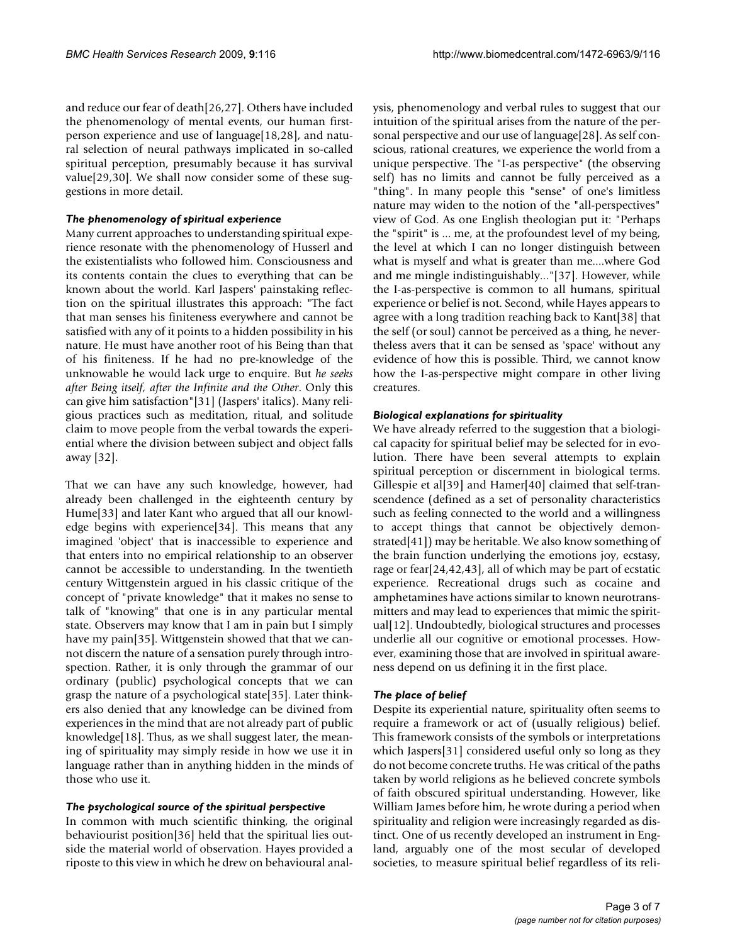and reduce our fear of death[26,27]. Others have included the phenomenology of mental events, our human firstperson experience and use of language[18,28], and natural selection of neural pathways implicated in so-called spiritual perception, presumably because it has survival value[29,30]. We shall now consider some of these suggestions in more detail.

## *The phenomenology of spiritual experience*

Many current approaches to understanding spiritual experience resonate with the phenomenology of Husserl and the existentialists who followed him. Consciousness and its contents contain the clues to everything that can be known about the world. Karl Jaspers' painstaking reflection on the spiritual illustrates this approach: "The fact that man senses his finiteness everywhere and cannot be satisfied with any of it points to a hidden possibility in his nature. He must have another root of his Being than that of his finiteness. If he had no pre-knowledge of the unknowable he would lack urge to enquire. But *he seeks after Being itself, after the Infinite and the Other*. Only this can give him satisfaction"[31] (Jaspers' italics). Many religious practices such as meditation, ritual, and solitude claim to move people from the verbal towards the experiential where the division between subject and object falls away [32].

That we can have any such knowledge, however, had already been challenged in the eighteenth century by Hume[33] and later Kant who argued that all our knowledge begins with experience[34]. This means that any imagined 'object' that is inaccessible to experience and that enters into no empirical relationship to an observer cannot be accessible to understanding. In the twentieth century Wittgenstein argued in his classic critique of the concept of "private knowledge" that it makes no sense to talk of "knowing" that one is in any particular mental state. Observers may know that I am in pain but I simply have my pain[35]. Wittgenstein showed that that we cannot discern the nature of a sensation purely through introspection. Rather, it is only through the grammar of our ordinary (public) psychological concepts that we can grasp the nature of a psychological state[35]. Later thinkers also denied that any knowledge can be divined from experiences in the mind that are not already part of public knowledge[18]. Thus, as we shall suggest later, the meaning of spirituality may simply reside in how we use it in language rather than in anything hidden in the minds of those who use it.

## *The psychological source of the spiritual perspective*

In common with much scientific thinking, the original behaviourist position[36] held that the spiritual lies outside the material world of observation. Hayes provided a riposte to this view in which he drew on behavioural analysis, phenomenology and verbal rules to suggest that our intuition of the spiritual arises from the nature of the personal perspective and our use of language[28]. As self conscious, rational creatures, we experience the world from a unique perspective. The "I-as perspective" (the observing self) has no limits and cannot be fully perceived as a "thing". In many people this "sense" of one's limitless nature may widen to the notion of the "all-perspectives" view of God. As one English theologian put it: "Perhaps the "spirit" is ... me, at the profoundest level of my being, the level at which I can no longer distinguish between what is myself and what is greater than me....where God and me mingle indistinguishably..."[37]. However, while the I-as-perspective is common to all humans, spiritual experience or belief is not. Second, while Hayes appears to agree with a long tradition reaching back to Kant[38] that the self (or soul) cannot be perceived as a thing, he nevertheless avers that it can be sensed as 'space' without any evidence of how this is possible. Third, we cannot know how the I-as-perspective might compare in other living creatures.

## *Biological explanations for spirituality*

We have already referred to the suggestion that a biological capacity for spiritual belief may be selected for in evolution. There have been several attempts to explain spiritual perception or discernment in biological terms. Gillespie et al<sup>[39]</sup> and Hamer<sup>[40]</sup> claimed that self-transcendence (defined as a set of personality characteristics such as feeling connected to the world and a willingness to accept things that cannot be objectively demonstrated[41]) may be heritable. We also know something of the brain function underlying the emotions joy, ecstasy, rage or fear[24,42,43], all of which may be part of ecstatic experience. Recreational drugs such as cocaine and amphetamines have actions similar to known neurotransmitters and may lead to experiences that mimic the spiritual[12]. Undoubtedly, biological structures and processes underlie all our cognitive or emotional processes. However, examining those that are involved in spiritual awareness depend on us defining it in the first place.

## *The place of belief*

Despite its experiential nature, spirituality often seems to require a framework or act of (usually religious) belief. This framework consists of the symbols or interpretations which Jaspers[31] considered useful only so long as they do not become concrete truths. He was critical of the paths taken by world religions as he believed concrete symbols of faith obscured spiritual understanding. However, like William James before him, he wrote during a period when spirituality and religion were increasingly regarded as distinct. One of us recently developed an instrument in England, arguably one of the most secular of developed societies, to measure spiritual belief regardless of its reli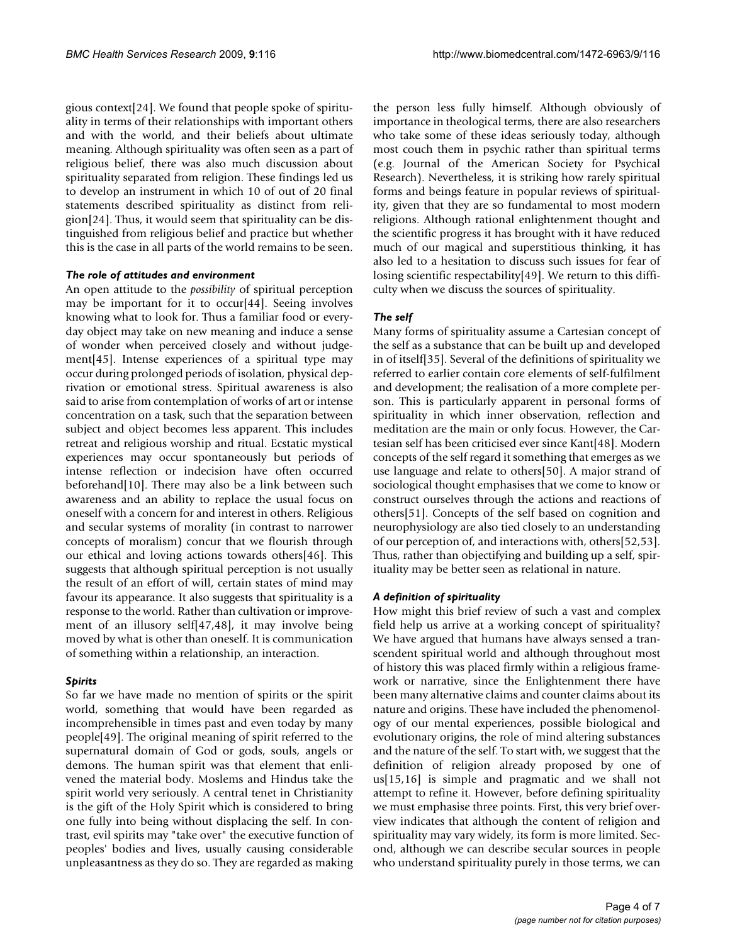gious context[24]. We found that people spoke of spirituality in terms of their relationships with important others and with the world, and their beliefs about ultimate meaning. Although spirituality was often seen as a part of religious belief, there was also much discussion about spirituality separated from religion. These findings led us to develop an instrument in which 10 of out of 20 final statements described spirituality as distinct from religion[24]. Thus, it would seem that spirituality can be distinguished from religious belief and practice but whether this is the case in all parts of the world remains to be seen.

## *The role of attitudes and environment*

An open attitude to the *possibility* of spiritual perception may be important for it to occur[44]. Seeing involves knowing what to look for. Thus a familiar food or everyday object may take on new meaning and induce a sense of wonder when perceived closely and without judgement[45]. Intense experiences of a spiritual type may occur during prolonged periods of isolation, physical deprivation or emotional stress. Spiritual awareness is also said to arise from contemplation of works of art or intense concentration on a task, such that the separation between subject and object becomes less apparent. This includes retreat and religious worship and ritual. Ecstatic mystical experiences may occur spontaneously but periods of intense reflection or indecision have often occurred beforehand[10]. There may also be a link between such awareness and an ability to replace the usual focus on oneself with a concern for and interest in others. Religious and secular systems of morality (in contrast to narrower concepts of moralism) concur that we flourish through our ethical and loving actions towards others[46]. This suggests that although spiritual perception is not usually the result of an effort of will, certain states of mind may favour its appearance. It also suggests that spirituality is a response to the world. Rather than cultivation or improvement of an illusory self[47,48], it may involve being moved by what is other than oneself. It is communication of something within a relationship, an interaction.

## *Spirits*

So far we have made no mention of spirits or the spirit world, something that would have been regarded as incomprehensible in times past and even today by many people[49]. The original meaning of spirit referred to the supernatural domain of God or gods, souls, angels or demons. The human spirit was that element that enlivened the material body. Moslems and Hindus take the spirit world very seriously. A central tenet in Christianity is the gift of the Holy Spirit which is considered to bring one fully into being without displacing the self. In contrast, evil spirits may "take over" the executive function of peoples' bodies and lives, usually causing considerable unpleasantness as they do so. They are regarded as making the person less fully himself. Although obviously of importance in theological terms, there are also researchers who take some of these ideas seriously today, although most couch them in psychic rather than spiritual terms (e.g. Journal of the American Society for Psychical Research). Nevertheless, it is striking how rarely spiritual forms and beings feature in popular reviews of spirituality, given that they are so fundamental to most modern religions. Although rational enlightenment thought and the scientific progress it has brought with it have reduced much of our magical and superstitious thinking, it has also led to a hesitation to discuss such issues for fear of losing scientific respectability[49]. We return to this difficulty when we discuss the sources of spirituality.

## *The self*

Many forms of spirituality assume a Cartesian concept of the self as a substance that can be built up and developed in of itself[35]. Several of the definitions of spirituality we referred to earlier contain core elements of self-fulfilment and development; the realisation of a more complete person. This is particularly apparent in personal forms of spirituality in which inner observation, reflection and meditation are the main or only focus. However, the Cartesian self has been criticised ever since Kant[48]. Modern concepts of the self regard it something that emerges as we use language and relate to others[50]. A major strand of sociological thought emphasises that we come to know or construct ourselves through the actions and reactions of others[51]. Concepts of the self based on cognition and neurophysiology are also tied closely to an understanding of our perception of, and interactions with, others[52,53]. Thus, rather than objectifying and building up a self, spirituality may be better seen as relational in nature.

## *A definition of spirituality*

How might this brief review of such a vast and complex field help us arrive at a working concept of spirituality? We have argued that humans have always sensed a transcendent spiritual world and although throughout most of history this was placed firmly within a religious framework or narrative, since the Enlightenment there have been many alternative claims and counter claims about its nature and origins. These have included the phenomenology of our mental experiences, possible biological and evolutionary origins, the role of mind altering substances and the nature of the self. To start with, we suggest that the definition of religion already proposed by one of us[15,16] is simple and pragmatic and we shall not attempt to refine it. However, before defining spirituality we must emphasise three points. First, this very brief overview indicates that although the content of religion and spirituality may vary widely, its form is more limited. Second, although we can describe secular sources in people who understand spirituality purely in those terms, we can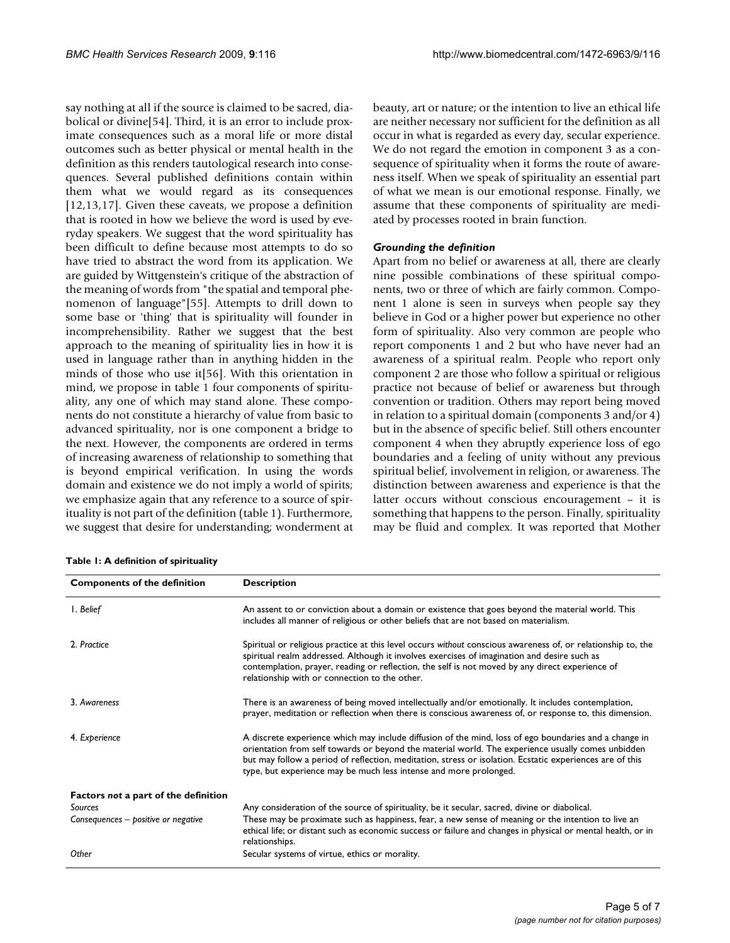say nothing at all if the source is claimed to be sacred, diabolical or divine[54]. Third, it is an error to include proximate consequences such as a moral life or more distal outcomes such as better physical or mental health in the definition as this renders tautological research into consequences. Several published definitions contain within them what we would regard as its consequences [12,13,17]. Given these caveats, we propose a definition that is rooted in how we believe the word is used by everyday speakers. We suggest that the word spirituality has been difficult to define because most attempts to do so have tried to abstract the word from its application. We are guided by Wittgenstein's critique of the abstraction of the meaning of words from "the spatial and temporal phenomenon of language"[55]. Attempts to drill down to some base or 'thing' that is spirituality will founder in incomprehensibility. Rather we suggest that the best approach to the meaning of spirituality lies in how it is used in language rather than in anything hidden in the minds of those who use it[56]. With this orientation in mind, we propose in table 1 four components of spirituality, any one of which may stand alone. These components do not constitute a hierarchy of value from basic to advanced spirituality, nor is one component a bridge to the next. However, the components are ordered in terms of increasing awareness of relationship to something that is beyond empirical verification. In using the words domain and existence we do not imply a world of spirits; we emphasize again that any reference to a source of spirituality is not part of the definition (table 1). Furthermore, we suggest that desire for understanding; wonderment at

|  | Table 1: A definition of spirituality |  |  |
|--|---------------------------------------|--|--|
|  |                                       |  |  |

beauty, art or nature; or the intention to live an ethical life are neither necessary nor sufficient for the definition as all occur in what is regarded as every day, secular experience. We do not regard the emotion in component 3 as a consequence of spirituality when it forms the route of awareness itself. When we speak of spirituality an essential part of what we mean is our emotional response. Finally, we assume that these components of spirituality are mediated by processes rooted in brain function.

## *Grounding the definition*

Apart from no belief or awareness at all, there are clearly nine possible combinations of these spiritual components, two or three of which are fairly common. Component 1 alone is seen in surveys when people say they believe in God or a higher power but experience no other form of spirituality. Also very common are people who report components 1 and 2 but who have never had an awareness of a spiritual realm. People who report only component 2 are those who follow a spiritual or religious practice not because of belief or awareness but through convention or tradition. Others may report being moved in relation to a spiritual domain (components 3 and/or 4) but in the absence of specific belief. Still others encounter component 4 when they abruptly experience loss of ego boundaries and a feeling of unity without any previous spiritual belief, involvement in religion, or awareness. The distinction between awareness and experience is that the latter occurs without conscious encouragement – it is something that happens to the person. Finally, spirituality may be fluid and complex. It was reported that Mother

| <b>Components of the definition</b>   | <b>Description</b>                                                                                                                                                                                                                                                                                                                                                                          |
|---------------------------------------|---------------------------------------------------------------------------------------------------------------------------------------------------------------------------------------------------------------------------------------------------------------------------------------------------------------------------------------------------------------------------------------------|
| I. Belief                             | An assent to or conviction about a domain or existence that goes beyond the material world. This<br>includes all manner of religious or other beliefs that are not based on materialism.                                                                                                                                                                                                    |
| 2. Practice                           | Spiritual or religious practice at this level occurs without conscious awareness of, or relationship to, the<br>spiritual realm addressed. Although it involves exercises of imagination and desire such as<br>contemplation, prayer, reading or reflection, the self is not moved by any direct experience of<br>relationship with or connection to the other.                             |
| 3. Awareness                          | There is an awareness of being moved intellectually and/or emotionally. It includes contemplation,<br>prayer, meditation or reflection when there is conscious awareness of, or response to, this dimension.                                                                                                                                                                                |
| 4. Experience                         | A discrete experience which may include diffusion of the mind, loss of ego boundaries and a change in<br>orientation from self towards or beyond the material world. The experience usually comes unbidden<br>but may follow a period of reflection, meditation, stress or isolation. Ecstatic experiences are of this<br>type, but experience may be much less intense and more prolonged. |
| Factors not a part of the definition  |                                                                                                                                                                                                                                                                                                                                                                                             |
| Sources                               | Any consideration of the source of spirituality, be it secular, sacred, divine or diabolical.                                                                                                                                                                                                                                                                                               |
| Consequences $-$ positive or negative | These may be proximate such as happiness, fear, a new sense of meaning or the intention to live an<br>ethical life; or distant such as economic success or failure and changes in physical or mental health, or in<br>relationships.                                                                                                                                                        |
| Other                                 | Secular systems of virtue, ethics or morality.                                                                                                                                                                                                                                                                                                                                              |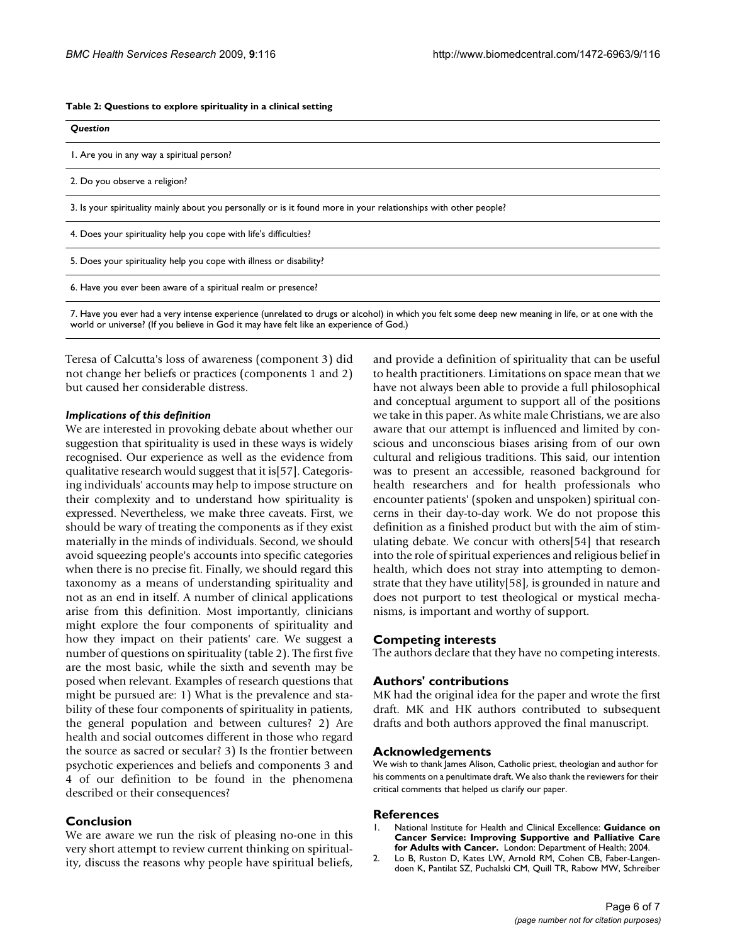#### **Table 2: Questions to explore spirituality in a clinical setting**

| <b>Question</b>                                                                                                                                    |
|----------------------------------------------------------------------------------------------------------------------------------------------------|
| I. Are you in any way a spiritual person?                                                                                                          |
| 2. Do you observe a religion?                                                                                                                      |
| 3. Is your spirituality mainly about you personally or is it found more in your relationships with other people?                                   |
| 4. Does your spirituality help you cope with life's difficulties?                                                                                  |
| 5. Does your spirituality help you cope with illness or disability?                                                                                |
| 6. Have you ever been aware of a spiritual realm or presence?                                                                                      |
| 7. Have you ever had a very intense experience (unrelated to drugs or alcohol) in which you felt some deep new meaning in life, or at one with the |

Teresa of Calcutta's loss of awareness (component 3) did not change her beliefs or practices (components 1 and 2) but caused her considerable distress.

world or universe? (If you believe in God it may have felt like an experience of God.)

#### *Implications of this definition*

We are interested in provoking debate about whether our suggestion that spirituality is used in these ways is widely recognised. Our experience as well as the evidence from qualitative research would suggest that it is[57]. Categorising individuals' accounts may help to impose structure on their complexity and to understand how spirituality is expressed. Nevertheless, we make three caveats. First, we should be wary of treating the components as if they exist materially in the minds of individuals. Second, we should avoid squeezing people's accounts into specific categories when there is no precise fit. Finally, we should regard this taxonomy as a means of understanding spirituality and not as an end in itself. A number of clinical applications arise from this definition. Most importantly, clinicians might explore the four components of spirituality and how they impact on their patients' care. We suggest a number of questions on spirituality (table 2). The first five are the most basic, while the sixth and seventh may be posed when relevant. Examples of research questions that might be pursued are: 1) What is the prevalence and stability of these four components of spirituality in patients, the general population and between cultures? 2) Are health and social outcomes different in those who regard the source as sacred or secular? 3) Is the frontier between psychotic experiences and beliefs and components 3 and 4 of our definition to be found in the phenomena described or their consequences?

## **Conclusion**

We are aware we run the risk of pleasing no-one in this very short attempt to review current thinking on spirituality, discuss the reasons why people have spiritual beliefs,

and provide a definition of spirituality that can be useful to health practitioners. Limitations on space mean that we have not always been able to provide a full philosophical and conceptual argument to support all of the positions we take in this paper. As white male Christians, we are also aware that our attempt is influenced and limited by conscious and unconscious biases arising from of our own cultural and religious traditions. This said, our intention was to present an accessible, reasoned background for health researchers and for health professionals who encounter patients' (spoken and unspoken) spiritual concerns in their day-to-day work. We do not propose this definition as a finished product but with the aim of stimulating debate. We concur with others[54] that research into the role of spiritual experiences and religious belief in health, which does not stray into attempting to demonstrate that they have utility[58], is grounded in nature and does not purport to test theological or mystical mechanisms, is important and worthy of support.

## **Competing interests**

The authors declare that they have no competing interests.

## **Authors' contributions**

MK had the original idea for the paper and wrote the first draft. MK and HK authors contributed to subsequent drafts and both authors approved the final manuscript.

#### **Acknowledgements**

We wish to thank James Alison, Catholic priest, theologian and author for his comments on a penultimate draft. We also thank the reviewers for their critical comments that helped us clarify our paper.

#### **References**

- 1. National Institute for Health and Clinical Excellence: **Guidance on Cancer Service: Improving Supportive and Palliative Care for Adults with Cancer.** London: Department of Health; 2004.
- 2. Lo B, Ruston D, Kates LW, Arnold RM, Cohen CB, Faber-Langendoen K, Pantilat SZ, Puchalski CM, Quill TR, Rabow MW, Schreiber